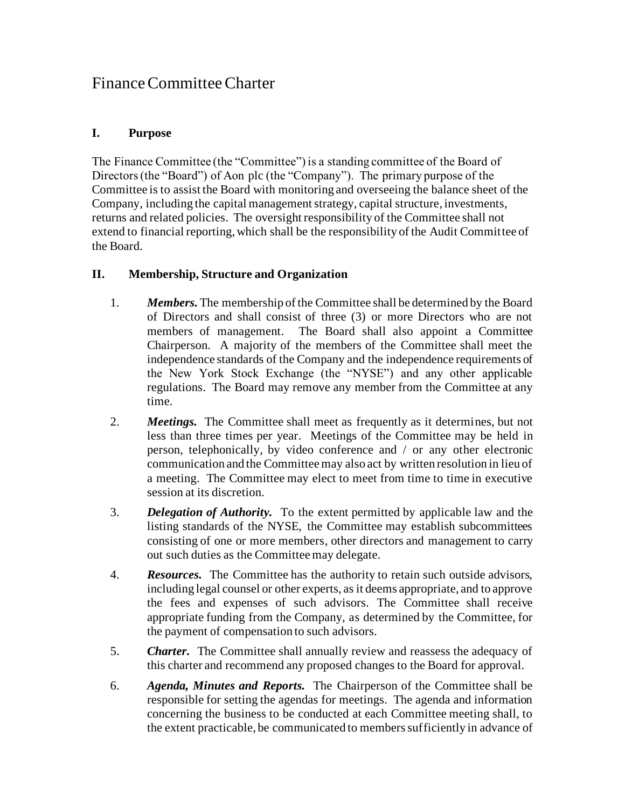## Finance Committee Charter

## **I. Purpose**

The Finance Committee (the "Committee") is a standing committee of the Board of Directors (the "Board") of Aon plc (the "Company"). The primary purpose of the Committee is to assist the Board with monitoring and overseeing the balance sheet of the Company, including the capital management strategy, capital structure, investments, returns and related policies. The oversight responsibility of the Committee shall not extend to financial reporting, which shall be the responsibility of the Audit Committee of the Board.

## **II. Membership, Structure and Organization**

- 1. *Members.* The membership of the Committee shall be determined by the Board of Directors and shall consist of three (3) or more Directors who are not members of management. The Board shall also appoint a Committee Chairperson. A majority of the members of the Committee shall meet the independence standards of the Company and the independence requirements of the New York Stock Exchange (the "NYSE") and any other applicable regulations. The Board may remove any member from the Committee at any time.
- 2. *Meetings.* The Committee shall meet as frequently as it determines, but not less than three times per year. Meetings of the Committee may be held in person, telephonically, by video conference and / or any other electronic communication and the Committee may also act by written resolution in lieu of a meeting. The Committee may elect to meet from time to time in executive session at its discretion.
- 3. *Delegation of Authority.* To the extent permitted by applicable law and the listing standards of the NYSE, the Committee may establish subcommittees consisting of one or more members, other directors and management to carry out such duties as the Committee may delegate.
- 4. *Resources.* The Committee has the authority to retain such outside advisors, including legal counsel or other experts, as it deems appropriate, and to approve the fees and expenses of such advisors. The Committee shall receive appropriate funding from the Company, as determined by the Committee, for the payment of compensation to such advisors.
- 5. *Charter.* The Committee shall annually review and reassess the adequacy of this charter and recommend any proposed changes to the Board for approval.
- 6. *Agenda, Minutes and Reports.* The Chairperson of the Committee shall be responsible for setting the agendas for meetings. The agenda and information concerning the business to be conducted at each Committee meeting shall, to the extent practicable, be communicated to members sufficiently in advance of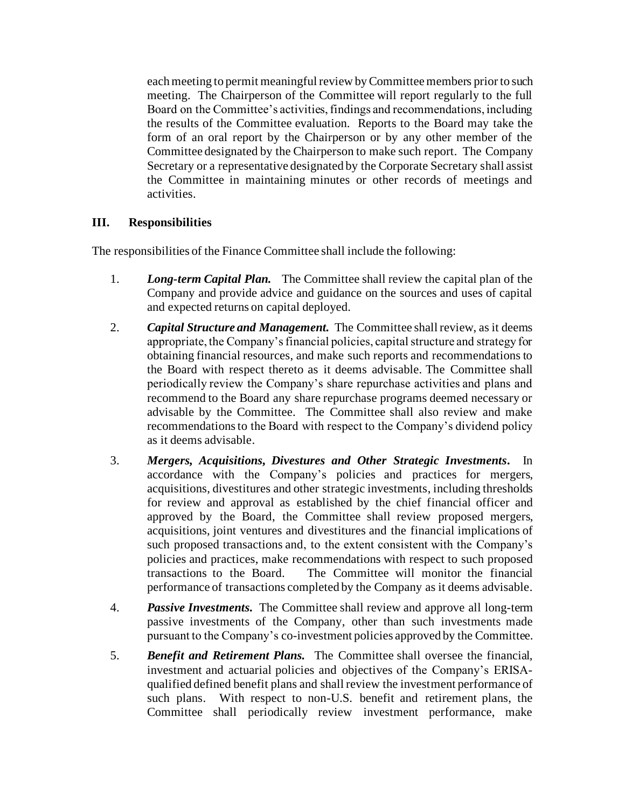each meeting to permit meaningful review by Committee members prior to such meeting. The Chairperson of the Committee will report regularly to the full Board on the Committee's activities, findings and recommendations, including the results of the Committee evaluation. Reports to the Board may take the form of an oral report by the Chairperson or by any other member of the Committee designated by the Chairperson to make such report. The Company Secretary or a representative designated by the Corporate Secretary shall assist the Committee in maintaining minutes or other records of meetings and activities.

## **III. Responsibilities**

The responsibilities of the Finance Committee shall include the following:

- 1. *Long-term Capital Plan.* The Committee shall review the capital plan of the Company and provide advice and guidance on the sources and uses of capital and expected returns on capital deployed.
- 2. *Capital Structure and Management.* The Committee shall review, as it deems appropriate, the Company's financial policies, capital structure and strategy for obtaining financial resources, and make such reports and recommendations to the Board with respect thereto as it deems advisable. The Committee shall periodically review the Company's share repurchase activities and plans and recommend to the Board any share repurchase programs deemed necessary or advisable by the Committee. The Committee shall also review and make recommendations to the Board with respect to the Company's dividend policy as it deems advisable.
- 3. *Mergers, Acquisitions, Divestures and Other Strategic Investments.* In accordance with the Company's policies and practices for mergers, acquisitions, divestitures and other strategic investments, including thresholds for review and approval as established by the chief financial officer and approved by the Board, the Committee shall review proposed mergers, acquisitions, joint ventures and divestitures and the financial implications of such proposed transactions and, to the extent consistent with the Company's policies and practices, make recommendations with respect to such proposed transactions to the Board. The Committee will monitor the financial performance of transactions completed by the Company as it deems advisable.
- 4. *Passive Investments.* The Committee shall review and approve all long-term passive investments of the Company, other than such investments made pursuant to the Company's co-investment policies approved by the Committee.
- 5. *Benefit and Retirement Plans.* The Committee shall oversee the financial, investment and actuarial policies and objectives of the Company's ERISAqualified defined benefit plans and shall review the investment performance of such plans. With respect to non-U.S. benefit and retirement plans, the Committee shall periodically review investment performance, make